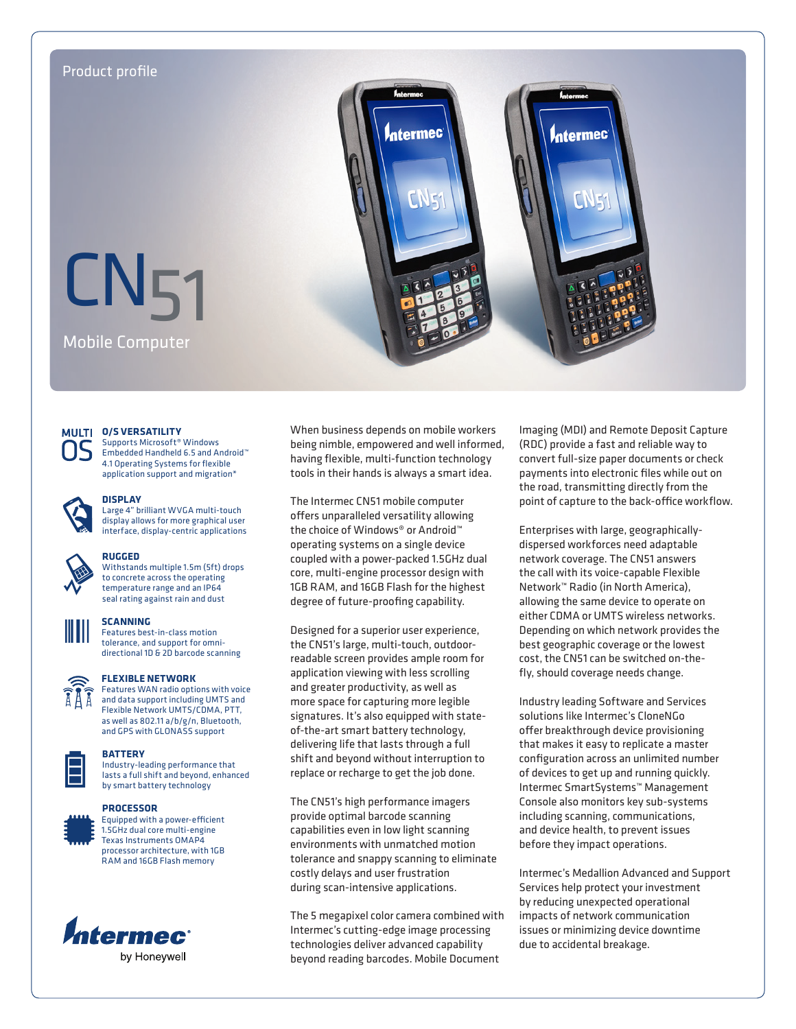



# **MULTI 0/S VERSATILITY**

Supports Microsoft® Windows Embedded Handheld 6.5 and Android™ 4.1 Operating Systems for flexible application support and migration\*



# **DISPLAY**

Large 4" brilliant WVGA multi-touch display allows for more graphical user interface, display-centric applications



# **RUGGED**

Withstands multiple 1.5m (5ft) drops to concrete across the operating temperature range and an IP64 seal rating against rain and dust



# **SCANNING**

Features best-in-class motion tolerance, and support for omnidirectional 1D & 2D barcode scanning



# **FLEXIBLE NETWORK**

Features WAN radio options with voice and data support including UMTS and Flexible Network UMTS/CDMA, PTT, as well as 802.11 a/b/g/n, Bluetooth, and GPS with GLONASS support

## **BATTERY**

Industry-leading performance that lasts a full shift and beyond, enhanced by smart battery technology

#### **PROCESSOR**



Equipped with a power-efficient 1.5GHz dual core multi-engine Texas Instruments OMAP4 processor architecture, with 1GB RAM and 16GB Flash memory



When business depends on mobile workers being nimble, empowered and well informed, having flexible, multi-function technology tools in their hands is always a smart idea.

The Intermec CN51 mobile computer offers unparalleled versatility allowing the choice of Windows® or Android™ operating systems on a single device coupled with a power-packed 1.5GHz dual core, multi-engine processor design with 1GB RAM, and 16GB Flash for the highest degree of future-proofing capability.

Designed for a superior user experience, the CN51's large, multi-touch, outdoorreadable screen provides ample room for application viewing with less scrolling and greater productivity, as well as more space for capturing more legible signatures. It's also equipped with stateof-the-art smart battery technology, delivering life that lasts through a full shift and beyond without interruption to replace or recharge to get the job done.

The CN51's high performance imagers provide optimal barcode scanning capabilities even in low light scanning environments with unmatched motion tolerance and snappy scanning to eliminate costly delays and user frustration during scan-intensive applications.

The 5 megapixel color camera combined with Intermec's cutting-edge image processing technologies deliver advanced capability beyond reading barcodes. Mobile Document

Imaging (MDI) and Remote Deposit Capture (RDC) provide a fast and reliable way to convert full-size paper documents or check payments into electronic files while out on the road, transmitting directly from the point of capture to the back-office workflow.

Enterprises with large, geographicallydispersed workforces need adaptable network coverage. The CN51 answers the call with its voice-capable Flexible Network™ Radio (in North America), allowing the same device to operate on either CDMA or UMTS wireless networks. Depending on which network provides the best geographic coverage or the lowest cost, the CN51 can be switched on-thefly, should coverage needs change.

Industry leading Software and Services solutions like Intermec's CloneNGo offer breakthrough device provisioning that makes it easy to replicate a master configuration across an unlimited number of devices to get up and running quickly. Intermec SmartSystems™ Management Console also monitors key sub-systems including scanning, communications, and device health, to prevent issues before they impact operations.

Intermec's Medallion Advanced and Support Services help protect your investment by reducing unexpected operational impacts of network communication issues or minimizing device downtime due to accidental breakage.